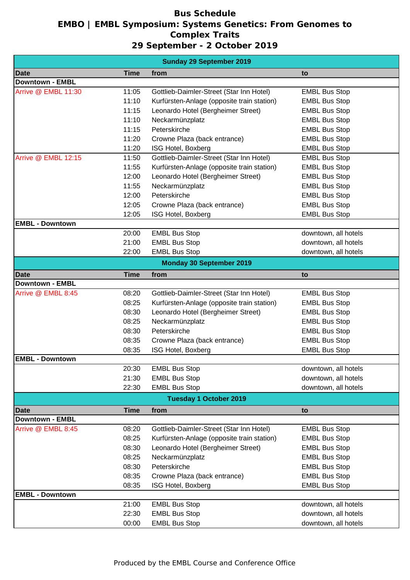## **Bus Schedule EMBO | EMBL Symposium: Systems Genetics: From Genomes to Complex Traits 29 September - 2 October 2019**

| <b>Sunday 29 September 2019</b> |             |                                            |                      |  |
|---------------------------------|-------------|--------------------------------------------|----------------------|--|
| <b>Date</b>                     | <b>Time</b> | from                                       | to                   |  |
| <b>Downtown - EMBL</b>          |             |                                            |                      |  |
| Arrive @ EMBL 11:30             | 11:05       | Gottlieb-Daimler-Street (Star Inn Hotel)   | <b>EMBL Bus Stop</b> |  |
|                                 | 11:10       | Kurfürsten-Anlage (opposite train station) | <b>EMBL Bus Stop</b> |  |
|                                 | 11:15       | Leonardo Hotel (Bergheimer Street)         | <b>EMBL Bus Stop</b> |  |
|                                 | 11:10       | Neckarmünzplatz                            | <b>EMBL Bus Stop</b> |  |
|                                 | 11:15       | Peterskirche                               | <b>EMBL Bus Stop</b> |  |
|                                 | 11:20       | Crowne Plaza (back entrance)               | <b>EMBL Bus Stop</b> |  |
|                                 | 11:20       | ISG Hotel, Boxberg                         | <b>EMBL Bus Stop</b> |  |
| Arrive @ EMBL 12:15             | 11:50       | Gottlieb-Daimler-Street (Star Inn Hotel)   | <b>EMBL Bus Stop</b> |  |
|                                 | 11:55       | Kurfürsten-Anlage (opposite train station) | <b>EMBL Bus Stop</b> |  |
|                                 | 12:00       | Leonardo Hotel (Bergheimer Street)         | <b>EMBL Bus Stop</b> |  |
|                                 | 11:55       | Neckarmünzplatz                            | <b>EMBL Bus Stop</b> |  |
|                                 | 12:00       | Peterskirche                               | <b>EMBL Bus Stop</b> |  |
|                                 | 12:05       | Crowne Plaza (back entrance)               | <b>EMBL Bus Stop</b> |  |
|                                 | 12:05       | ISG Hotel, Boxberg                         | <b>EMBL Bus Stop</b> |  |
| <b>EMBL - Downtown</b>          |             |                                            |                      |  |
|                                 | 20:00       | <b>EMBL Bus Stop</b>                       | downtown, all hotels |  |
|                                 | 21:00       | <b>EMBL Bus Stop</b>                       | downtown, all hotels |  |
|                                 | 22:00       | <b>EMBL Bus Stop</b>                       | downtown, all hotels |  |
|                                 |             | <b>Monday 30 September 2019</b>            |                      |  |
| <b>Date</b>                     | <b>Time</b> | from                                       | to                   |  |
| <b>Downtown - EMBL</b>          |             |                                            |                      |  |
| Arrive @ EMBL 8:45              | 08:20       | Gottlieb-Daimler-Street (Star Inn Hotel)   | <b>EMBL Bus Stop</b> |  |
|                                 | 08:25       | Kurfürsten-Anlage (opposite train station) | <b>EMBL Bus Stop</b> |  |
|                                 | 08:30       | Leonardo Hotel (Bergheimer Street)         | <b>EMBL Bus Stop</b> |  |
|                                 | 08:25       | Neckarmünzplatz                            | <b>EMBL Bus Stop</b> |  |
|                                 | 08:30       | Peterskirche                               | <b>EMBL Bus Stop</b> |  |
|                                 | 08:35       | Crowne Plaza (back entrance)               | <b>EMBL Bus Stop</b> |  |
|                                 | 08:35       | ISG Hotel, Boxberg                         | <b>EMBL Bus Stop</b> |  |
| <b>EMBL - Downtown</b>          |             |                                            |                      |  |
|                                 | 20:30       | <b>EMBL Bus Stop</b>                       | downtown, all hotels |  |
|                                 | 21:30       | <b>EMBL Bus Stop</b>                       | downtown, all hotels |  |
|                                 | 22:30       | <b>EMBL Bus Stop</b>                       | downtown, all hotels |  |
|                                 |             | <b>Tuesday 1 October 2019</b>              |                      |  |
| Date                            | <b>Time</b> | from                                       | to                   |  |
| <b>Downtown - EMBL</b>          |             |                                            |                      |  |
| Arrive @ EMBL 8:45              | 08:20       | Gottlieb-Daimler-Street (Star Inn Hotel)   | <b>EMBL Bus Stop</b> |  |
|                                 | 08:25       | Kurfürsten-Anlage (opposite train station) | <b>EMBL Bus Stop</b> |  |
|                                 | 08:30       | Leonardo Hotel (Bergheimer Street)         | <b>EMBL Bus Stop</b> |  |
|                                 | 08:25       | Neckarmünzplatz                            | <b>EMBL Bus Stop</b> |  |
|                                 | 08:30       | Peterskirche                               | <b>EMBL Bus Stop</b> |  |
|                                 | 08:35       | Crowne Plaza (back entrance)               | <b>EMBL Bus Stop</b> |  |
|                                 | 08:35       | ISG Hotel, Boxberg                         | <b>EMBL Bus Stop</b> |  |
| <b>EMBL - Downtown</b>          |             |                                            |                      |  |
|                                 | 21:00       | <b>EMBL Bus Stop</b>                       | downtown, all hotels |  |
|                                 | 22:30       | <b>EMBL Bus Stop</b>                       | downtown, all hotels |  |
|                                 | 00:00       | <b>EMBL Bus Stop</b>                       | downtown, all hotels |  |